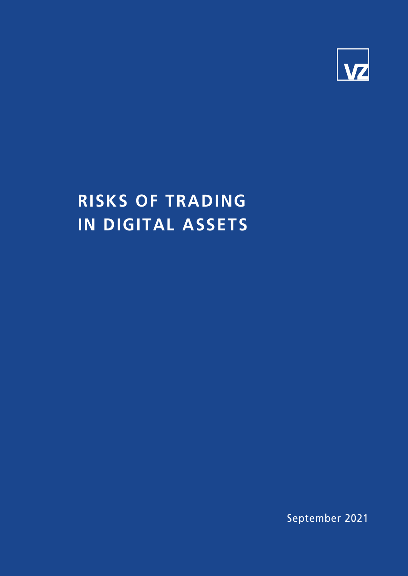

# **RISKS OF TRADING IN DIGITAL ASSETS**

September 2021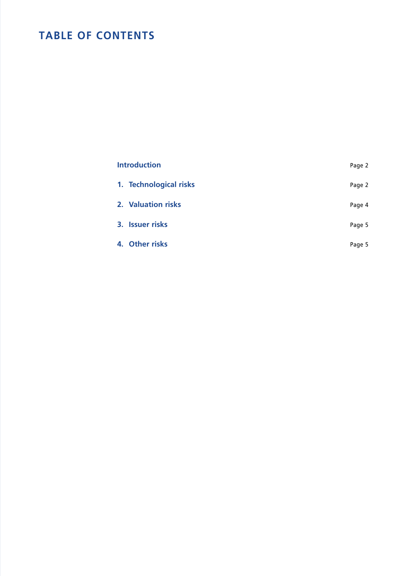## **TABLE OF CONTENTS**

| <b>Introduction</b> |                        | Page 2 |
|---------------------|------------------------|--------|
|                     | 1. Technological risks | Page 2 |
|                     | 2. Valuation risks     | Page 4 |
|                     | 3. Issuer risks        | Page 5 |
|                     | 4. Other risks         | Page 5 |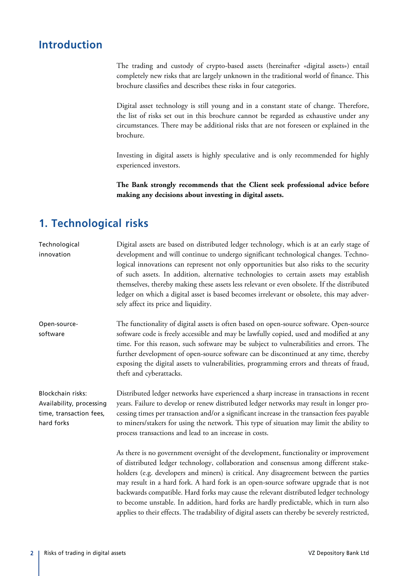#### **Introduction**

The trading and custody of crypto-based assets (hereinafter «digital assets») entail completely new risks that are largely unknown in the traditional world of finance. This brochure classifies and describes these risks in four categories.

Digital asset technology is still young and in a constant state of change. Therefore, the list of risks set out in this brochure cannot be regarded as exhaustive under any circumstances. There may be additional risks that are not foreseen or explained in the brochure.

Investing in digital assets is highly speculative and is only recommended for highly experienced investors.

**The Bank strongly recommends that the Client seek professional advice before making any decisions about investing in digital assets.**

#### **1. Technological risks**

| Technological<br>innovation                                                            | Digital assets are based on distributed ledger technology, which is at an early stage of<br>development and will continue to undergo significant technological changes. Techno-<br>logical innovations can represent not only opportunities but also risks to the security<br>of such assets. In addition, alternative technologies to certain assets may establish<br>themselves, thereby making these assets less relevant or even obsolete. If the distributed<br>ledger on which a digital asset is based becomes irrelevant or obsolete, this may adver-<br>sely affect its price and liquidity.                                                 |
|----------------------------------------------------------------------------------------|-------------------------------------------------------------------------------------------------------------------------------------------------------------------------------------------------------------------------------------------------------------------------------------------------------------------------------------------------------------------------------------------------------------------------------------------------------------------------------------------------------------------------------------------------------------------------------------------------------------------------------------------------------|
| Open-source-<br>software                                                               | The functionality of digital assets is often based on open-source software. Open-source<br>software code is freely accessible and may be lawfully copied, used and modified at any<br>time. For this reason, such software may be subject to vulnerabilities and errors. The<br>further development of open-source software can be discontinued at any time, thereby<br>exposing the digital assets to vulnerabilities, programming errors and threats of fraud,<br>theft and cyberattacks.                                                                                                                                                           |
| Blockchain risks:<br>Availability, processing<br>time, transaction fees,<br>hard forks | Distributed ledger networks have experienced a sharp increase in transactions in recent<br>years. Failure to develop or renew distributed ledger networks may result in longer pro-<br>cessing times per transaction and/or a significant increase in the transaction fees payable<br>to miners/stakers for using the network. This type of situation may limit the ability to<br>process transactions and lead to an increase in costs.                                                                                                                                                                                                              |
|                                                                                        | As there is no government oversight of the development, functionality or improvement<br>of distributed ledger technology, collaboration and consensus among different stake-<br>holders (e.g. developers and miners) is critical. Any disagreement between the parties<br>may result in a hard fork. A hard fork is an open-source software upgrade that is not<br>backwards compatible. Hard forks may cause the relevant distributed ledger technology<br>to become unstable. In addition, hard forks are hardly predictable, which in turn also<br>applies to their effects. The tradability of digital assets can thereby be severely restricted, |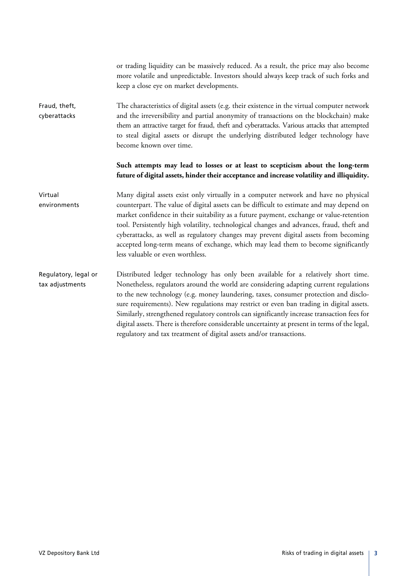|                                         | or trading liquidity can be massively reduced. As a result, the price may also become<br>more volatile and unpredictable. Investors should always keep track of such forks and<br>keep a close eye on market developments.                                                                                                                                                                                                                                                                                                                                                                                                            |
|-----------------------------------------|---------------------------------------------------------------------------------------------------------------------------------------------------------------------------------------------------------------------------------------------------------------------------------------------------------------------------------------------------------------------------------------------------------------------------------------------------------------------------------------------------------------------------------------------------------------------------------------------------------------------------------------|
| Fraud, theft,<br>cyberattacks           | The characteristics of digital assets (e.g. their existence in the virtual computer network<br>and the irreversibility and partial anonymity of transactions on the blockchain) make<br>them an attractive target for fraud, theft and cyberattacks. Various attacks that attempted<br>to steal digital assets or disrupt the underlying distributed ledger technology have<br>become known over time.                                                                                                                                                                                                                                |
|                                         | Such attempts may lead to losses or at least to scepticism about the long-term<br>future of digital assets, hinder their acceptance and increase volatility and illiquidity.                                                                                                                                                                                                                                                                                                                                                                                                                                                          |
| Virtual<br>environments                 | Many digital assets exist only virtually in a computer network and have no physical<br>counterpart. The value of digital assets can be difficult to estimate and may depend on<br>market confidence in their suitability as a future payment, exchange or value-retention<br>tool. Persistently high volatility, technological changes and advances, fraud, theft and<br>cyberattacks, as well as regulatory changes may prevent digital assets from becoming<br>accepted long-term means of exchange, which may lead them to become significantly<br>less valuable or even worthless.                                                |
| Regulatory, legal or<br>tax adjustments | Distributed ledger technology has only been available for a relatively short time.<br>Nonetheless, regulators around the world are considering adapting current regulations<br>to the new technology (e.g. money laundering, taxes, consumer protection and disclo-<br>sure requirements). New regulations may restrict or even ban trading in digital assets.<br>Similarly, strengthened regulatory controls can significantly increase transaction fees for<br>digital assets. There is therefore considerable uncertainty at present in terms of the legal,<br>regulatory and tax treatment of digital assets and/or transactions. |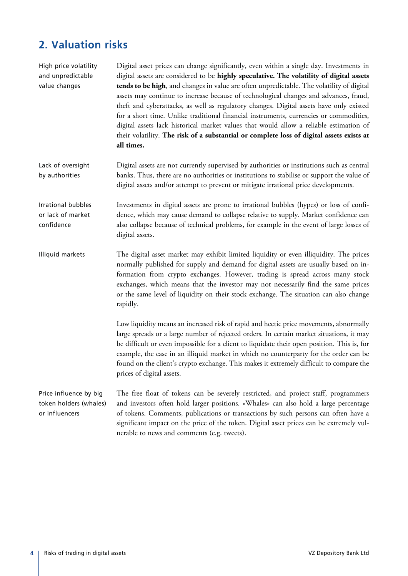## **2. Valuation risks**

| High price volatility<br>and unpredictable<br>value changes        | Digital asset prices can change significantly, even within a single day. Investments in<br>digital assets are considered to be highly speculative. The volatility of digital assets<br>tends to be high, and changes in value are often unpredictable. The volatility of digital<br>assets may continue to increase because of technological changes and advances, fraud,<br>theft and cyberattacks, as well as regulatory changes. Digital assets have only existed<br>for a short time. Unlike traditional financial instruments, currencies or commodities,<br>digital assets lack historical market values that would allow a reliable estimation of<br>their volatility. The risk of a substantial or complete loss of digital assets exists at<br>all times. |
|--------------------------------------------------------------------|--------------------------------------------------------------------------------------------------------------------------------------------------------------------------------------------------------------------------------------------------------------------------------------------------------------------------------------------------------------------------------------------------------------------------------------------------------------------------------------------------------------------------------------------------------------------------------------------------------------------------------------------------------------------------------------------------------------------------------------------------------------------|
| Lack of oversight<br>by authorities                                | Digital assets are not currently supervised by authorities or institutions such as central<br>banks. Thus, there are no authorities or institutions to stabilise or support the value of<br>digital assets and/or attempt to prevent or mitigate irrational price developments.                                                                                                                                                                                                                                                                                                                                                                                                                                                                                    |
| Irrational bubbles<br>or lack of market<br>confidence              | Investments in digital assets are prone to irrational bubbles (hypes) or loss of confi-<br>dence, which may cause demand to collapse relative to supply. Market confidence can<br>also collapse because of technical problems, for example in the event of large losses of<br>digital assets.                                                                                                                                                                                                                                                                                                                                                                                                                                                                      |
| Illiquid markets                                                   | The digital asset market may exhibit limited liquidity or even illiquidity. The prices<br>normally published for supply and demand for digital assets are usually based on in-<br>formation from crypto exchanges. However, trading is spread across many stock<br>exchanges, which means that the investor may not necessarily find the same prices<br>or the same level of liquidity on their stock exchange. The situation can also change<br>rapidly.                                                                                                                                                                                                                                                                                                          |
|                                                                    | Low liquidity means an increased risk of rapid and hectic price movements, abnormally<br>large spreads or a large number of rejected orders. In certain market situations, it may<br>be difficult or even impossible for a client to liquidate their open position. This is, for<br>example, the case in an illiquid market in which no counterparty for the order can be<br>found on the client's crypto exchange. This makes it extremely difficult to compare the<br>prices of digital assets.                                                                                                                                                                                                                                                                  |
| Price influence by big<br>token holders (whales)<br>or influencers | The free float of tokens can be severely restricted, and project staff, programmers<br>and investors often hold larger positions. «Whales» can also hold a large percentage<br>of tokens. Comments, publications or transactions by such persons can often have a<br>significant impact on the price of the token. Digital asset prices can be extremely vul-<br>nerable to news and comments (e.g. tweets).                                                                                                                                                                                                                                                                                                                                                       |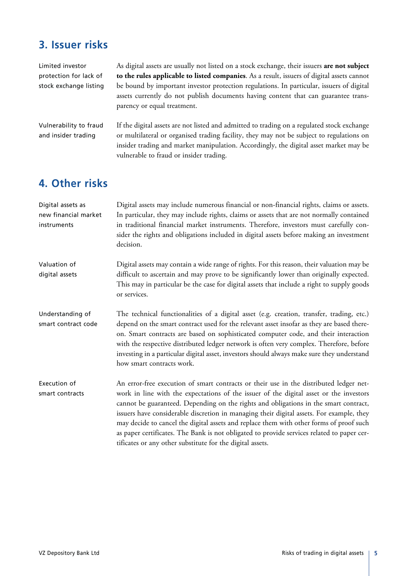#### **3. Issuer risks**

Limited investor protection for lack of stock exchange listing As digital assets are usually not listed on a stock exchange, their issuers **are not subject to the rules applicable to listed companies**. As a result, issuers of digital assets cannot be bound by important investor protection regulations. In particular, issuers of digital assets currently do not publish documents having content that can guarantee transparency or equal treatment.

Vulnerability to fraud and insider trading

If the digital assets are not listed and admitted to trading on a regulated stock exchange or multilateral or organised trading facility, they may not be subject to regulations on insider trading and market manipulation. Accordingly, the digital asset market may be vulnerable to fraud or insider trading.

#### **4. Other risks**

| Digital assets as<br>new financial market<br>instruments | Digital assets may include numerous financial or non-financial rights, claims or assets.<br>In particular, they may include rights, claims or assets that are not normally contained<br>in traditional financial market instruments. Therefore, investors must carefully con-<br>sider the rights and obligations included in digital assets before making an investment<br>decision.                                                                                                                                                                                                                                      |
|----------------------------------------------------------|----------------------------------------------------------------------------------------------------------------------------------------------------------------------------------------------------------------------------------------------------------------------------------------------------------------------------------------------------------------------------------------------------------------------------------------------------------------------------------------------------------------------------------------------------------------------------------------------------------------------------|
| Valuation of<br>digital assets                           | Digital assets may contain a wide range of rights. For this reason, their valuation may be<br>difficult to ascertain and may prove to be significantly lower than originally expected.<br>This may in particular be the case for digital assets that include a right to supply goods<br>or services.                                                                                                                                                                                                                                                                                                                       |
| Understanding of<br>smart contract code                  | The technical functionalities of a digital asset (e.g. creation, transfer, trading, etc.)<br>depend on the smart contract used for the relevant asset insofar as they are based there-<br>on. Smart contracts are based on sophisticated computer code, and their interaction<br>with the respective distributed ledger network is often very complex. Therefore, before<br>investing in a particular digital asset, investors should always make sure they understand<br>how smart contracts work.                                                                                                                        |
| Execution of<br>smart contracts                          | An error-free execution of smart contracts or their use in the distributed ledger net-<br>work in line with the expectations of the issuer of the digital asset or the investors<br>cannot be guaranteed. Depending on the rights and obligations in the smart contract,<br>issuers have considerable discretion in managing their digital assets. For example, they<br>may decide to cancel the digital assets and replace them with other forms of proof such<br>as paper certificates. The Bank is not obligated to provide services related to paper cer-<br>tificates or any other substitute for the digital assets. |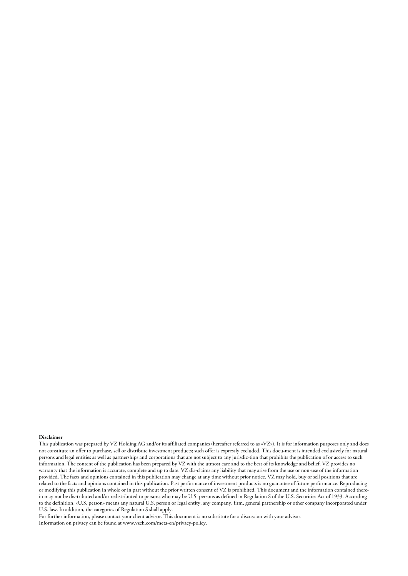#### **Disclaimer**

This publication was prepared by VZ Holding AG and/or its affiliated companies (hereafter referred to as «VZ»). It is for information purposes only and does not constitute an offer to purchase, sell or distribute investment products; such offer is expressly excluded. This docu-ment is intended exclusively for natural persons and legal entities as well as partnerships and corporations that are not subject to any jurisdic-tion that prohibits the publication of or access to such information. The content of the publication has been prepared by VZ with the utmost care and to the best of its knowledge and belief. VZ provides no warranty that the information is accurate, complete and up to date. VZ dis-claims any liability that may arise from the use or non-use of the information provided. The facts and opinions contained in this publication may change at any time without prior notice. VZ may hold, buy or sell positions that are related to the facts and opinions contained in this publication. Past performance of investment products is no guarantee of future performance. Reproducing or modifying this publication in whole or in part without the prior written consent of VZ is prohibited. This document and the information contained therein may not be dis-tributed and/or redistributed to persons who may be U.S. persons as defined in Regulation S of the U.S. Securities Act of 1933. According to the definition, «U.S. person» means any natural U.S. person or legal entity, any company, firm, general partnership or other company incorporated under U.S. law. In addition, the categories of Regulation S shall apply.

For further information, please contact your client advisor. This document is no substitute for a discussion with your advisor. Information on privacy can be found at www.vzch.com/meta-en/privacy-policy.